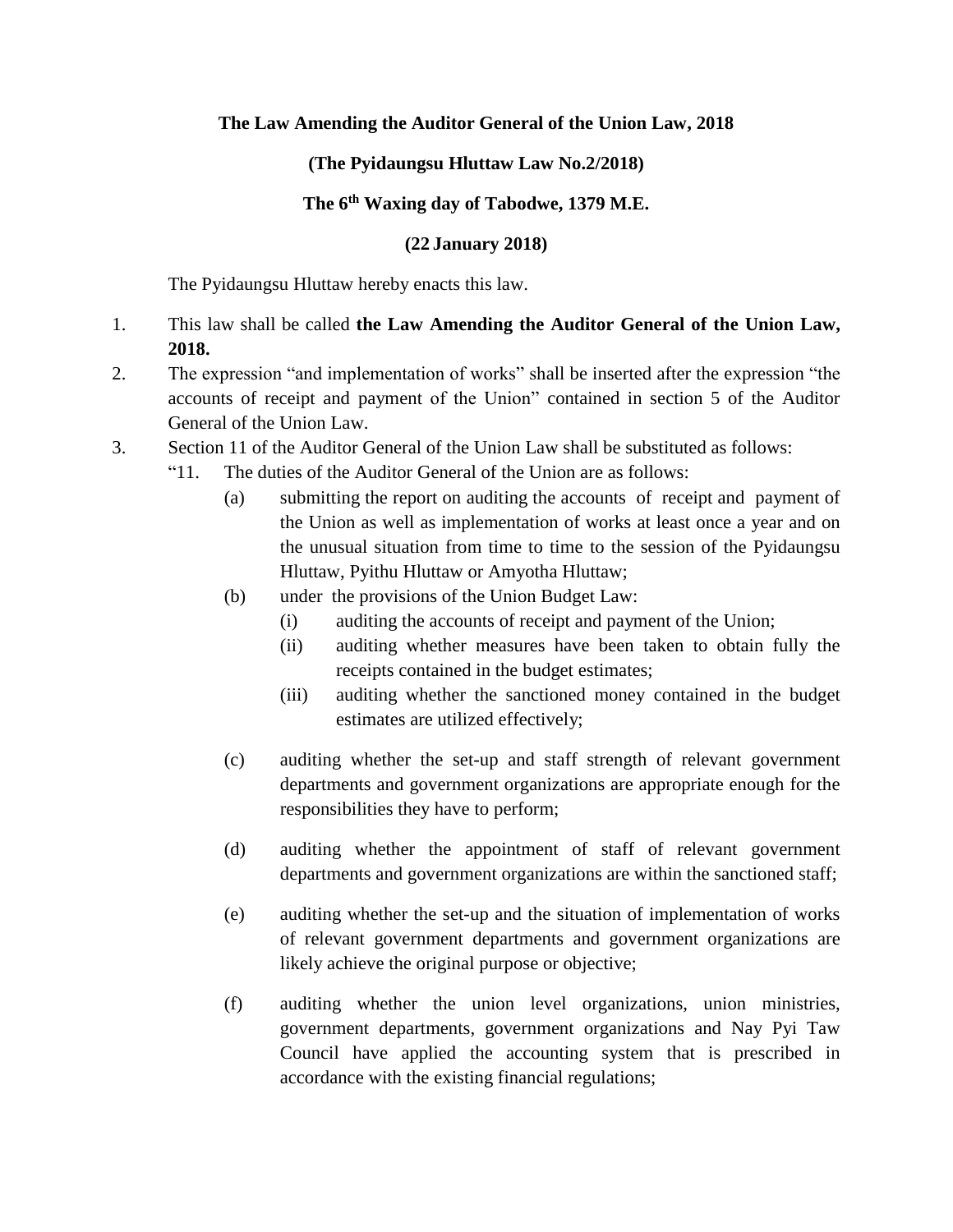## **The Law Amending the Auditor General of the Union Law, 2018**

## **(The Pyidaungsu Hluttaw Law No.2/2018)**

## **The 6th Waxing day of Tabodwe, 1379 M.E.**

## **(22 January 2018)**

The Pyidaungsu Hluttaw hereby enacts this law.

- 1. This law shall be called **the Law Amending the Auditor General of the Union Law, 2018.**
- 2. The expression "and implementation of works" shall be inserted after the expression "the accounts of receipt and payment of the Union" contained in section 5 of the Auditor General of the Union Law.
- 3. Section 11 of the Auditor General of the Union Law shall be substituted as follows:
	- "11. The duties of the Auditor General of the Union are as follows:
		- (a) submitting the report on auditing the accounts of receipt and payment of the Union as well as implementation of works at least once a year and on the unusual situation from time to time to the session of the Pyidaungsu Hluttaw, Pyithu Hluttaw or Amyotha Hluttaw;
		- (b) under the provisions of the Union Budget Law:
			- (i) auditing the accounts of receipt and payment of the Union;
			- (ii) auditing whether measures have been taken to obtain fully the receipts contained in the budget estimates;
			- (iii) auditing whether the sanctioned money contained in the budget estimates are utilized effectively;
		- (c) auditing whether the set-up and staff strength of relevant government departments and government organizations are appropriate enough for the responsibilities they have to perform;
		- (d) auditing whether the appointment of staff of relevant government departments and government organizations are within the sanctioned staff;
		- (e) auditing whether the set-up and the situation of implementation of works of relevant government departments and government organizations are likely achieve the original purpose or objective;
		- (f) auditing whether the union level organizations, union ministries, government departments, government organizations and Nay Pyi Taw Council have applied the accounting system that is prescribed in accordance with the existing financial regulations;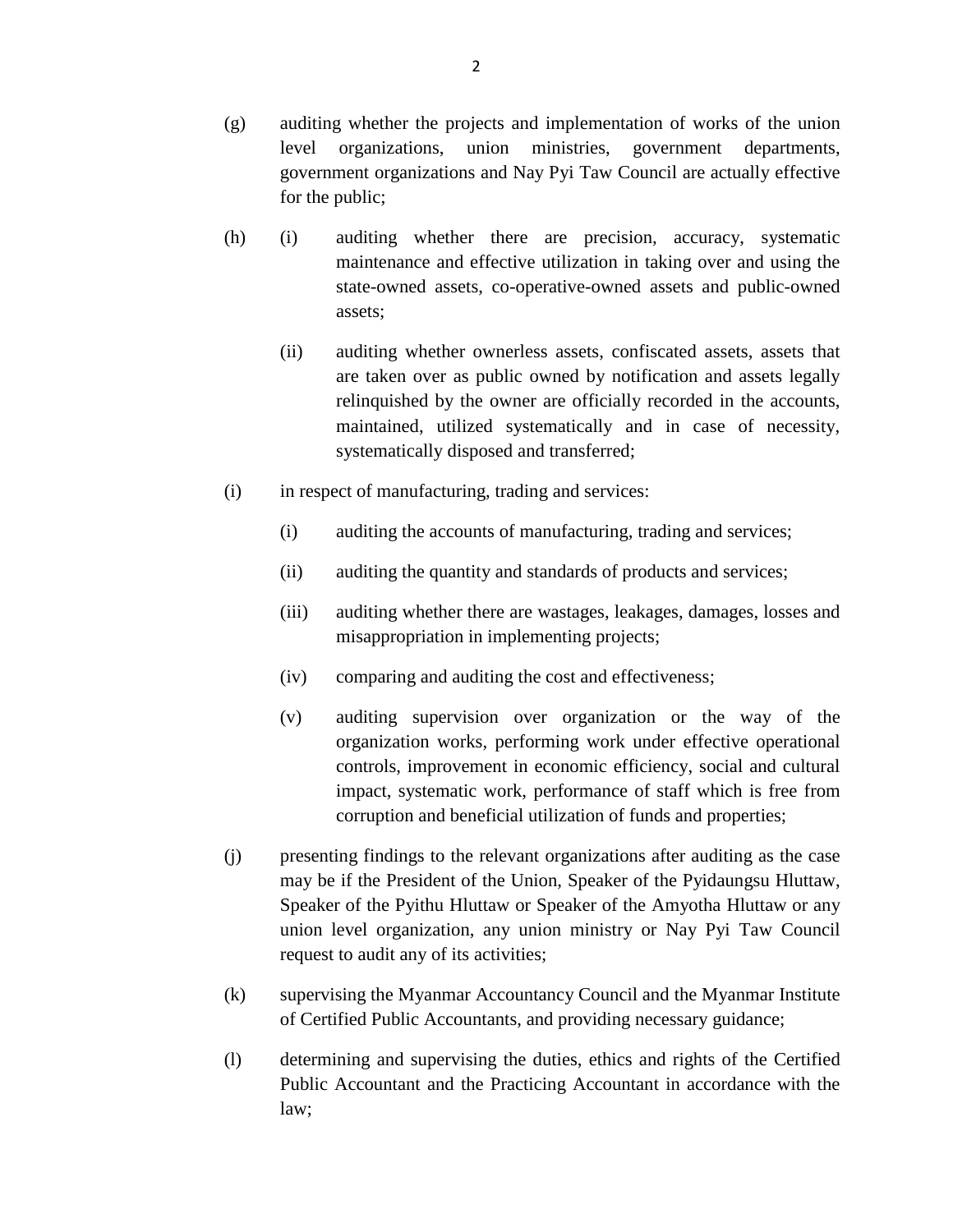- (g) auditing whether the projects and implementation of works of the union level organizations, union ministries, government departments, government organizations and Nay Pyi Taw Council are actually effective for the public;
- (h) (i) auditing whether there are precision, accuracy, systematic maintenance and effective utilization in taking over and using the state-owned assets, co-operative-owned assets and public-owned assets;
	- (ii) auditing whether ownerless assets, confiscated assets, assets that are taken over as public owned by notification and assets legally relinquished by the owner are officially recorded in the accounts, maintained, utilized systematically and in case of necessity, systematically disposed and transferred;
- (i) in respect of manufacturing, trading and services:
	- (i) auditing the accounts of manufacturing, trading and services;
	- (ii) auditing the quantity and standards of products and services;
	- (iii) auditing whether there are wastages, leakages, damages, losses and misappropriation in implementing projects;
	- (iv) comparing and auditing the cost and effectiveness;
	- (v) auditing supervision over organization or the way of the organization works, performing work under effective operational controls, improvement in economic efficiency, social and cultural impact, systematic work, performance of staff which is free from corruption and beneficial utilization of funds and properties;
- (j) presenting findings to the relevant organizations after auditing as the case may be if the President of the Union, Speaker of the Pyidaungsu Hluttaw, Speaker of the Pyithu Hluttaw or Speaker of the Amyotha Hluttaw or any union level organization, any union ministry or Nay Pyi Taw Council request to audit any of its activities;
- (k) supervising the Myanmar Accountancy Council and the Myanmar Institute of Certified Public Accountants, and providing necessary guidance;
- (l) determining and supervising the duties, ethics and rights of the Certified Public Accountant and the Practicing Accountant in accordance with the law;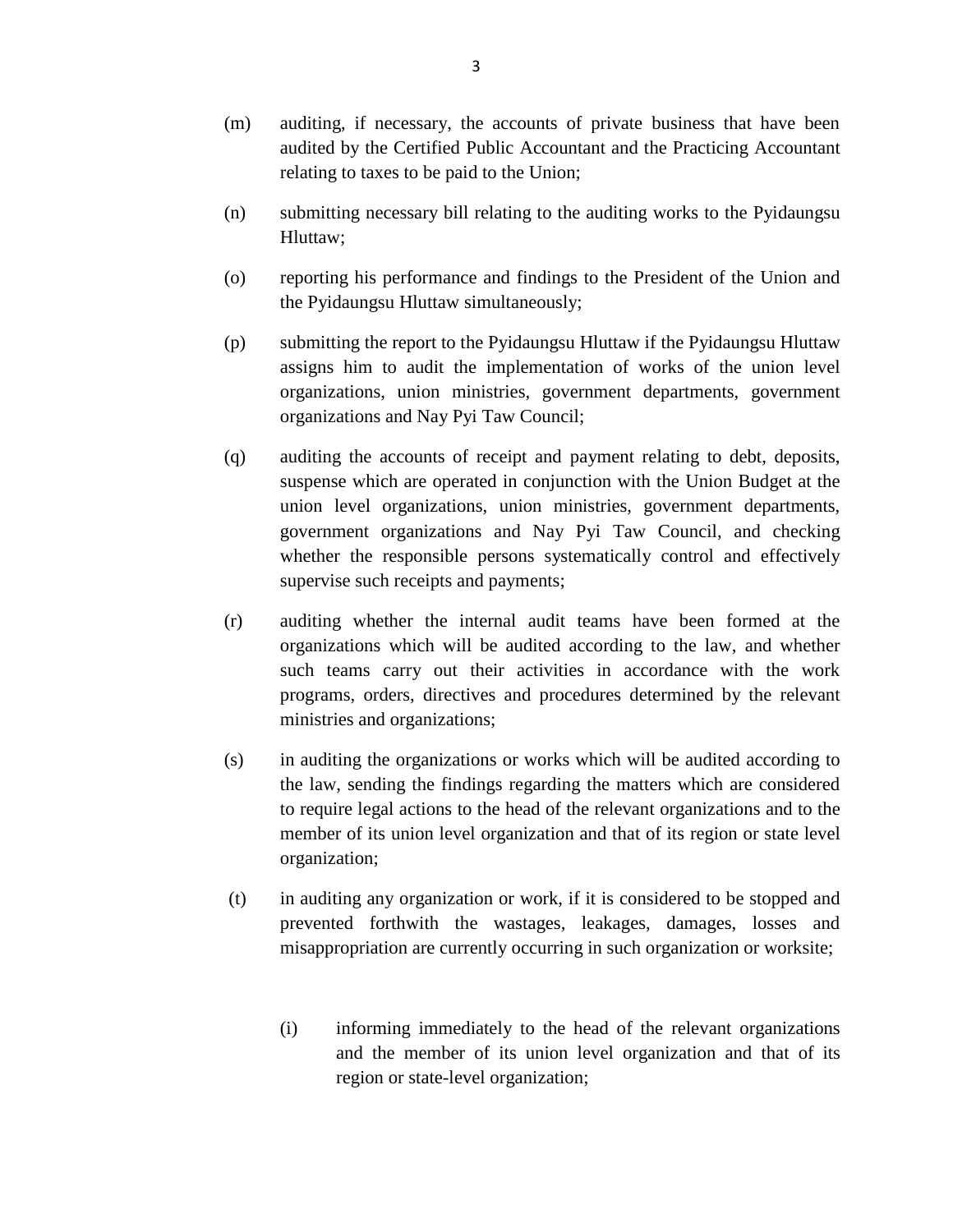- (m) auditing, if necessary, the accounts of private business that have been audited by the Certified Public Accountant and the Practicing Accountant relating to taxes to be paid to the Union;
- (n) submitting necessary bill relating to the auditing works to the Pyidaungsu Hluttaw;
- (o) reporting his performance and findings to the President of the Union and the Pyidaungsu Hluttaw simultaneously;
- (p) submitting the report to the Pyidaungsu Hluttaw if the Pyidaungsu Hluttaw assigns him to audit the implementation of works of the union level organizations, union ministries, government departments, government organizations and Nay Pyi Taw Council;
- (q) auditing the accounts of receipt and payment relating to debt, deposits, suspense which are operated in conjunction with the Union Budget at the union level organizations, union ministries, government departments, government organizations and Nay Pyi Taw Council, and checking whether the responsible persons systematically control and effectively supervise such receipts and payments;
- (r) auditing whether the internal audit teams have been formed at the organizations which will be audited according to the law, and whether such teams carry out their activities in accordance with the work programs, orders, directives and procedures determined by the relevant ministries and organizations;
- (s) in auditing the organizations or works which will be audited according to the law, sending the findings regarding the matters which are considered to require legal actions to the head of the relevant organizations and to the member of its union level organization and that of its region or state level organization;
- (t) in auditing any organization or work, if it is considered to be stopped and prevented forthwith the wastages, leakages, damages, losses and misappropriation are currently occurring in such organization or worksite;
	- (i) informing immediately to the head of the relevant organizations and the member of its union level organization and that of its region or state-level organization;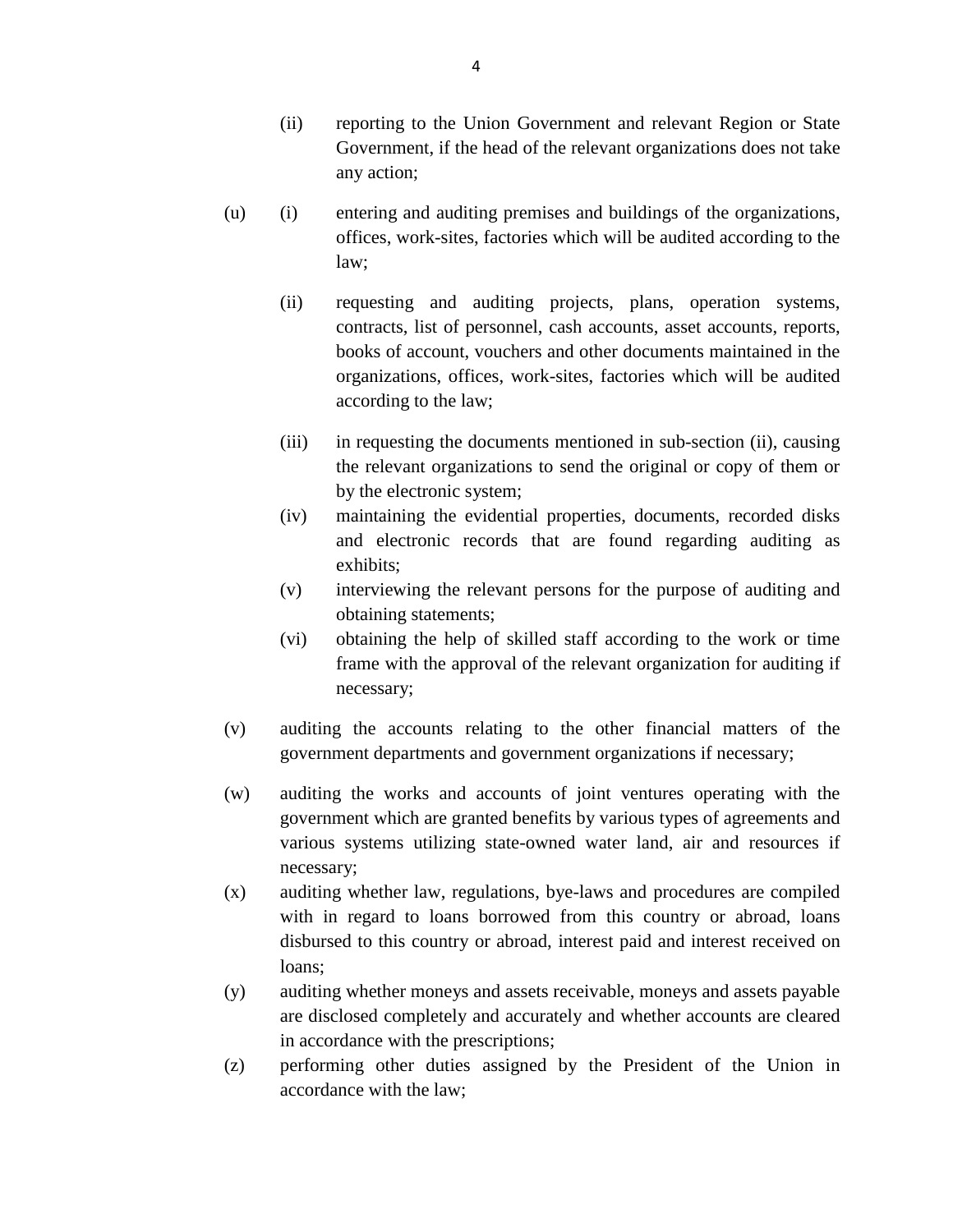- (ii) reporting to the Union Government and relevant Region or State Government, if the head of the relevant organizations does not take any action;
- (u) (i) entering and auditing premises and buildings of the organizations, offices, work-sites, factories which will be audited according to the law;
	- (ii) requesting and auditing projects, plans, operation systems, contracts, list of personnel, cash accounts, asset accounts, reports, books of account, vouchers and other documents maintained in the organizations, offices, work-sites, factories which will be audited according to the law;
	- (iii) in requesting the documents mentioned in sub-section (ii), causing the relevant organizations to send the original or copy of them or by the electronic system;
	- (iv) maintaining the evidential properties, documents, recorded disks and electronic records that are found regarding auditing as exhibits;
	- (v) interviewing the relevant persons for the purpose of auditing and obtaining statements;
	- (vi) obtaining the help of skilled staff according to the work or time frame with the approval of the relevant organization for auditing if necessary;
- (v) auditing the accounts relating to the other financial matters of the government departments and government organizations if necessary;
- (w) auditing the works and accounts of joint ventures operating with the government which are granted benefits by various types of agreements and various systems utilizing state-owned water land, air and resources if necessary;
- (x) auditing whether law, regulations, bye-laws and procedures are compiled with in regard to loans borrowed from this country or abroad, loans disbursed to this country or abroad, interest paid and interest received on loans;
- (y) auditing whether moneys and assets receivable, moneys and assets payable are disclosed completely and accurately and whether accounts are cleared in accordance with the prescriptions;
- (z) performing other duties assigned by the President of the Union in accordance with the law;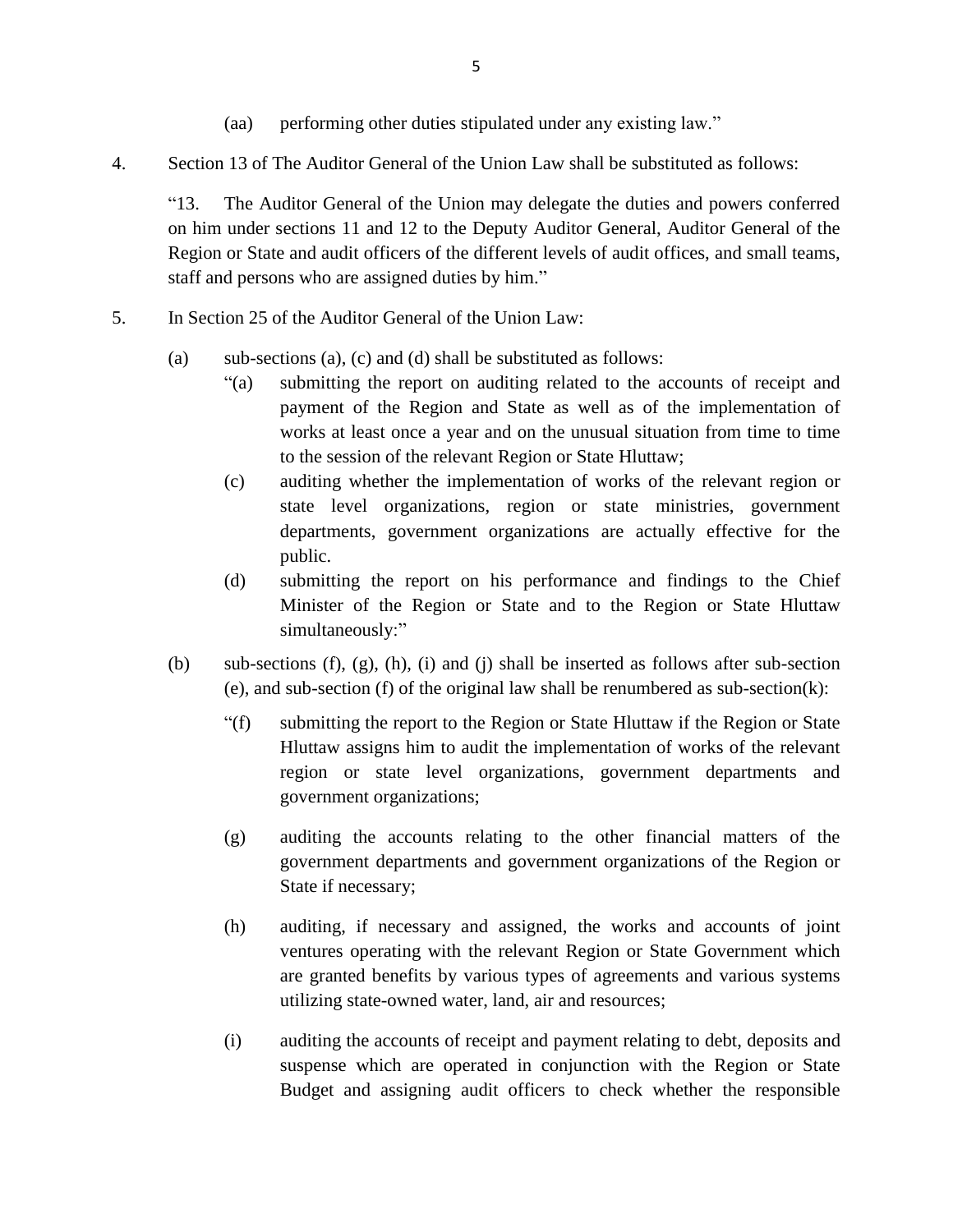- (aa) performing other duties stipulated under any existing law."
- 4. Section 13 of The Auditor General of the Union Law shall be substituted as follows:

"13. The Auditor General of the Union may delegate the duties and powers conferred on him under sections 11 and 12 to the Deputy Auditor General, Auditor General of the Region or State and audit officers of the different levels of audit offices, and small teams, staff and persons who are assigned duties by him."

- 5. In Section 25 of the Auditor General of the Union Law:
	- (a) sub-sections (a), (c) and (d) shall be substituted as follows:
		- "(a) submitting the report on auditing related to the accounts of receipt and payment of the Region and State as well as of the implementation of works at least once a year and on the unusual situation from time to time to the session of the relevant Region or State Hluttaw;
		- (c) auditing whether the implementation of works of the relevant region or state level organizations, region or state ministries, government departments, government organizations are actually effective for the public.
		- (d) submitting the report on his performance and findings to the Chief Minister of the Region or State and to the Region or State Hluttaw simultaneously:"
	- (b) sub-sections (f), (g), (h), (i) and (j) shall be inserted as follows after sub-section (e), and sub-section (f) of the original law shall be renumbered as sub-section(k):
		- "(f) submitting the report to the Region or State Hluttaw if the Region or State Hluttaw assigns him to audit the implementation of works of the relevant region or state level organizations, government departments and government organizations;
		- (g) auditing the accounts relating to the other financial matters of the government departments and government organizations of the Region or State if necessary;
		- (h) auditing, if necessary and assigned, the works and accounts of joint ventures operating with the relevant Region or State Government which are granted benefits by various types of agreements and various systems utilizing state-owned water, land, air and resources;
		- (i) auditing the accounts of receipt and payment relating to debt, deposits and suspense which are operated in conjunction with the Region or State Budget and assigning audit officers to check whether the responsible